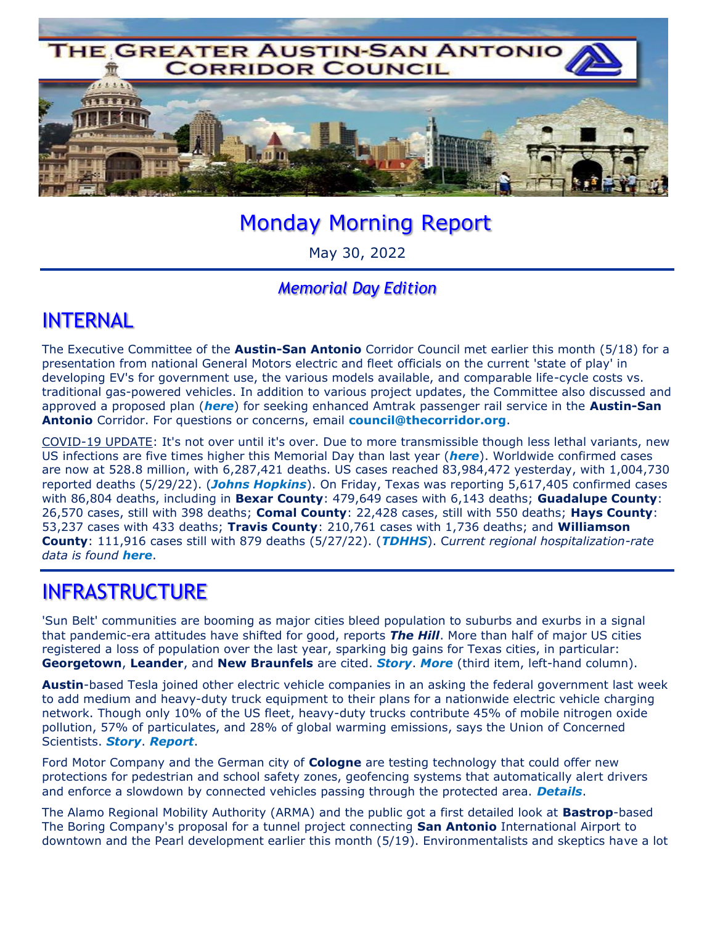

# Monday Morning Report

May 30, 2022

#### *Memorial Day Edition*

### INTERNAL

The Executive Committee of the **Austin-San Antonio** Corridor Council met earlier this month (5/18) for a presentation from national General Motors electric and fleet officials on the current 'state of play' in developing EV's for government use, the various models available, and comparable life-cycle costs vs. traditional gas-powered vehicles. In addition to various project updates, the Committee also discussed and approved a proposed plan (*here*) for seeking enhanced Amtrak passenger rail service in the **Austin-San Antonio** Corridor. For questions or concerns, email **council@thecorridor.org**.

COVID-19 UPDATE: It's not over until it's over. Due to more transmissible though less lethal variants, new US infections are five times higher this Memorial Day than last year (*here*). Worldwide confirmed cases are now at 528.8 million, with 6,287,421 deaths. US cases reached 83,984,472 yesterday, with 1,004,730 reported deaths (5/29/22). (*Johns Hopkins*). On Friday, Texas was reporting 5,617,405 confirmed cases with 86,804 deaths, including in **Bexar County**: 479,649 cases with 6,143 deaths; **Guadalupe County**: 26,570 cases, still with 398 deaths; **Comal County**: 22,428 cases, still with 550 deaths; **Hays County**: 53,237 cases with 433 deaths; **Travis County**: 210,761 cases with 1,736 deaths; and **Williamson County**: 111,916 cases still with 879 deaths (5/27/22). (*TDHHS*). C*urrent regional hospitalization-rate data is found here*.

### INFRASTRUCTURE

'Sun Belt' communities are booming as major cities bleed population to suburbs and exurbs in a signal that pandemic-era attitudes have shifted for good, reports *The Hill*. More than half of major US cities registered a loss of population over the last year, sparking big gains for Texas cities, in particular: **Georgetown**, **Leander**, and **New Braunfels** are cited. *Story*. *More* (third item, left-hand column).

**Austin**-based Tesla joined other electric vehicle companies in an asking the federal government last week to add medium and heavy-duty truck equipment to their plans for a nationwide electric vehicle charging network. Though only 10% of the US fleet, heavy-duty trucks contribute 45% of mobile nitrogen oxide pollution, 57% of particulates, and 28% of global warming emissions, says the Union of Concerned Scientists. *Story*. *Report*.

Ford Motor Company and the German city of **Cologne** are testing technology that could offer new protections for pedestrian and school safety zones, geofencing systems that automatically alert drivers and enforce a slowdown by connected vehicles passing through the protected area. *Details*.

The Alamo Regional Mobility Authority (ARMA) and the public got a first detailed look at **Bastrop**-based The Boring Company's proposal for a tunnel project connecting **San Antonio** International Airport to downtown and the Pearl development earlier this month (5/19). Environmentalists and skeptics have a lot